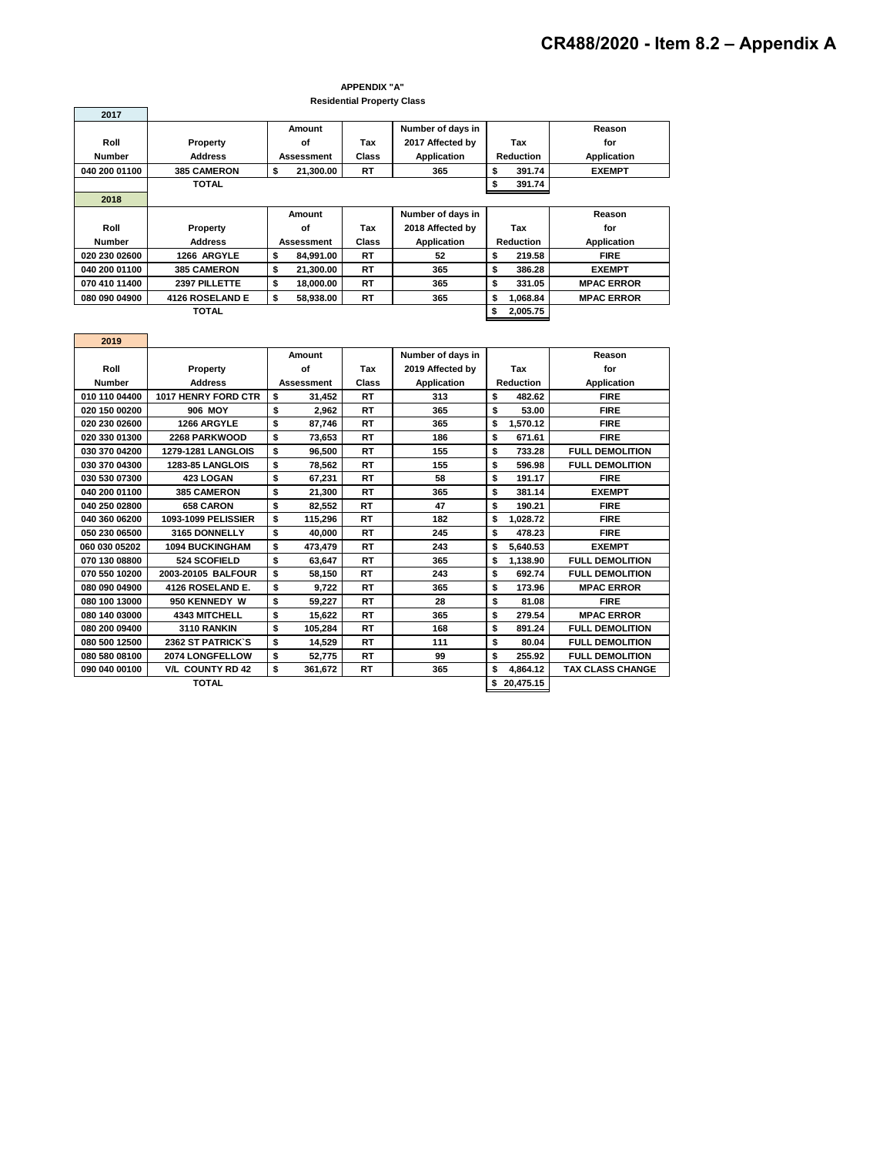## **Residential Property Class APPENDIX "A"**

|               |                    |                   | Residential Floperty Oldss |                    |                  |                  |                    |
|---------------|--------------------|-------------------|----------------------------|--------------------|------------------|------------------|--------------------|
| 2017          |                    |                   |                            |                    |                  |                  |                    |
|               |                    | Amount            |                            | Number of days in  |                  |                  | Reason             |
| Roll          | Property           | οf                | Tax                        | 2017 Affected by   |                  | Tax              | for                |
| <b>Number</b> | <b>Address</b>     | Assessment        | <b>Class</b>               | <b>Application</b> |                  | <b>Reduction</b> | <b>Application</b> |
| 040 200 01100 | <b>385 CAMERON</b> | 21,300.00<br>S    | RT                         | 365                | s                | 391.74           | <b>EXEMPT</b>      |
|               | <b>TOTAL</b>       |                   |                            |                    |                  | 391.74           |                    |
| 2018          |                    |                   |                            |                    |                  |                  |                    |
|               |                    | Amount            |                            | Number of days in  |                  |                  | Reason             |
| Roll          | Property           | οf                | Tax                        | 2018 Affected by   |                  | Tax              | for                |
| <b>Number</b> | <b>Address</b>     | <b>Assessment</b> | <b>Class</b>               | <b>Application</b> | <b>Reduction</b> |                  | <b>Application</b> |
| 020 230 02600 | 1266 ARGYLE        | 84.991.00<br>\$   | RT                         | 52                 | \$               | 219.58           | <b>FIRE</b>        |
| 040 200 01100 | <b>385 CAMERON</b> | \$<br>21,300.00   | RT                         | 365                | \$               | 386.28           | <b>EXEMPT</b>      |
| 070 410 11400 | 2397 PILLETTE      | \$<br>18.000.00   | RT                         | 365                | \$               | 331.05           | <b>MPAC ERROR</b>  |
| 080 090 04900 | 4126 ROSELAND E    | 58,938.00         | RT                         | 365                | \$               | 1,068.84         | <b>MPAC ERROR</b>  |
|               | TOTAL              |                   |                            |                    | \$               | 2,005.75         |                    |

| 2019          |                           |                   |         |           |                    |                  |           |                         |  |
|---------------|---------------------------|-------------------|---------|-----------|--------------------|------------------|-----------|-------------------------|--|
|               |                           | Amount            |         |           | Number of days in  |                  |           | Reason                  |  |
| Roll          | Property                  | of                |         | Tax       | 2019 Affected by   | Tax              |           | for                     |  |
| <b>Number</b> | <b>Address</b>            | <b>Assessment</b> |         | Class     | <b>Application</b> | <b>Reduction</b> |           | <b>Application</b>      |  |
| 010 110 04400 | 1017 HENRY FORD CTR       | \$                | 31,452  | <b>RT</b> | 313                | s<br>482.62      |           | <b>FIRE</b>             |  |
| 020 150 00200 | <b>906 MOY</b>            | \$                | 2.962   | <b>RT</b> | 365                | s<br>53.00       |           | <b>FIRE</b>             |  |
| 020 230 02600 | 1266 ARGYLE               | \$                | 87,746  | <b>RT</b> | 365                | \$<br>1.570.12   |           | <b>FIRE</b>             |  |
| 020 330 01300 | 2268 PARKWOOD             | \$                | 73,653  | <b>RT</b> | 186                | \$               | 671.61    | <b>FIRE</b>             |  |
| 030 370 04200 | <b>1279-1281 LANGLOIS</b> | \$                | 96,500  | <b>RT</b> | 155                | s                | 733.28    | <b>FULL DEMOLITION</b>  |  |
| 030 370 04300 | <b>1283-85 LANGLOIS</b>   | \$                | 78,562  | RT        | 155                | \$               | 596.98    | <b>FULL DEMOLITION</b>  |  |
| 030 530 07300 | 423 LOGAN                 | \$                | 67,231  | RT        | 58                 | s<br>191.17      |           | <b>FIRE</b>             |  |
| 040 200 01100 | <b>385 CAMERON</b>        | \$                | 21,300  | <b>RT</b> | 365                | \$<br>381.14     |           | <b>EXEMPT</b>           |  |
| 040 250 02800 | <b>658 CARON</b>          | \$                | 82,552  | RT        | 47                 | s                | 190.21    | <b>FIRE</b>             |  |
| 040 360 06200 | 1093-1099 PELISSIER       | \$                | 115,296 | <b>RT</b> | 182                | \$               | 1,028.72  | <b>FIRE</b>             |  |
| 050 230 06500 | 3165 DONNELLY             | \$                | 40.000  | <b>RT</b> | 245                | \$               | 478.23    | <b>FIRE</b>             |  |
| 060 030 05202 | <b>1094 BUCKINGHAM</b>    | \$                | 473,479 | <b>RT</b> | 243                | \$<br>5,640.53   |           | <b>EXEMPT</b>           |  |
| 070 130 08800 | 524 SCOFIELD              | \$                | 63.647  | RT        | 365                | \$               | 1.138.90  | <b>FULL DEMOLITION</b>  |  |
| 070 550 10200 | 2003-20105 BALFOUR        | \$                | 58,150  | <b>RT</b> | 243                | \$               | 692.74    | <b>FULL DEMOLITION</b>  |  |
| 080 090 04900 | 4126 ROSELAND E.          | \$                | 9,722   | RT        | 365                | \$               | 173.96    | <b>MPAC ERROR</b>       |  |
| 080 100 13000 | 950 KENNEDY W             | \$                | 59,227  | <b>RT</b> | 28                 | \$<br>81.08      |           | <b>FIRE</b>             |  |
| 080 140 03000 | <b>4343 MITCHELL</b>      | \$                | 15,622  | <b>RT</b> | 365                | \$               | 279.54    | <b>MPAC ERROR</b>       |  |
| 080 200 09400 | 3110 RANKIN               | \$                | 105,284 | RT        | 168                | s                | 891.24    | <b>FULL DEMOLITION</b>  |  |
| 080 500 12500 | <b>2362 ST PATRICK'S</b>  | \$                | 14,529  | <b>RT</b> | 111                | \$               | 80.04     | <b>FULL DEMOLITION</b>  |  |
| 080 580 08100 | 2074 LONGFELLOW           | \$                | 52,775  | RT        | 99                 | \$               | 255.92    | <b>FULL DEMOLITION</b>  |  |
| 090 040 00100 | <b>V/L COUNTY RD 42</b>   | \$                | 361,672 | <b>RT</b> | 365                | \$               | 4,864.12  | <b>TAX CLASS CHANGE</b> |  |
|               | <b>TOTAL</b>              |                   |         |           |                    | \$               | 20.475.15 |                         |  |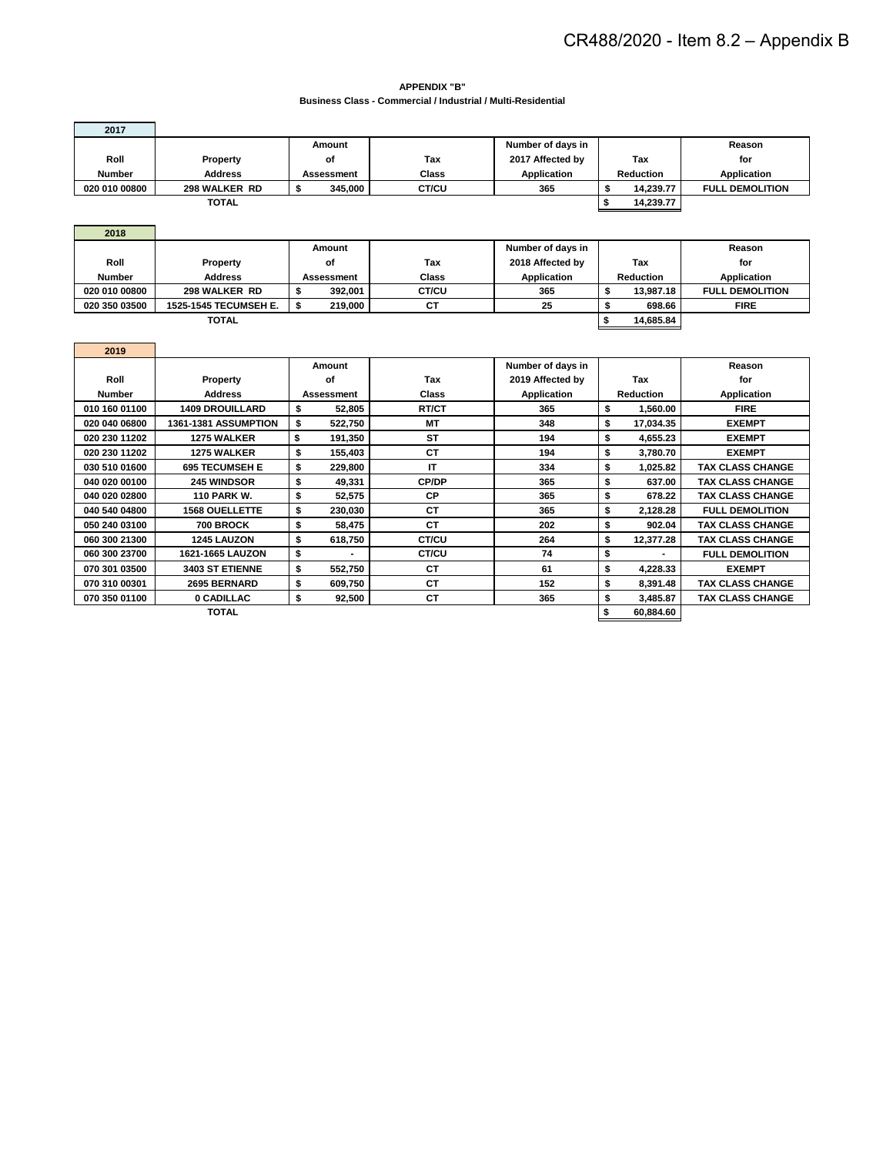**APPENDIX "B" Business Class - Commercial / Industrial / Multi-Residential**

| 2017          |                             |                             |              |                    |           |                  |                         |  |
|---------------|-----------------------------|-----------------------------|--------------|--------------------|-----------|------------------|-------------------------|--|
|               |                             | Amount<br>Number of days in |              |                    |           |                  | Reason                  |  |
| Roll          | Property                    | of                          | Tax          | 2017 Affected by   |           | <b>Tax</b>       | for                     |  |
| <b>Number</b> | <b>Address</b>              | <b>Assessment</b>           | Class        | <b>Application</b> |           | Reduction        | Application             |  |
| 020 010 00800 | 298 WALKER RD               | \$<br>345,000               | CT/CU        | 365                | \$        | 14,239.77        | <b>FULL DEMOLITION</b>  |  |
|               | <b>TOTAL</b>                |                             |              | \$                 | 14,239.77 |                  |                         |  |
|               |                             |                             |              |                    |           |                  |                         |  |
| 2018          |                             |                             |              |                    |           |                  |                         |  |
|               |                             | Amount                      |              | Number of days in  |           |                  | Reason                  |  |
| Roll          | Property                    | of                          | Tax          | 2018 Affected by   |           | <b>Tax</b>       | for                     |  |
| <b>Number</b> | <b>Address</b>              | <b>Assessment</b>           | Class        | <b>Application</b> |           | Reduction        | <b>Application</b>      |  |
| 020 010 00800 | 298 WALKER RD               | \$<br>392.001               | CT/CU        | 365                | \$        | 13.987.18        | <b>FULL DEMOLITION</b>  |  |
| 020 350 03500 | 1525-1545 TECUMSEH E.       | \$<br>219,000               | <b>CT</b>    | 25                 | \$        | 698.66           | <b>FIRE</b>             |  |
|               | <b>TOTAL</b>                |                             |              |                    | \$        | 14,685.84        |                         |  |
|               |                             |                             |              |                    |           |                  |                         |  |
| 2019          |                             |                             |              |                    |           |                  |                         |  |
|               |                             | Amount                      |              | Number of days in  |           |                  | Reason                  |  |
| Roll          | Property                    | of                          | Tax          | 2019 Affected by   |           | Tax              | for                     |  |
| Number        | <b>Address</b>              | <b>Assessment</b>           | <b>Class</b> | <b>Application</b> |           | <b>Reduction</b> | <b>Application</b>      |  |
| 010 160 01100 | <b>1409 DROUILLARD</b>      | \$<br>52.805                | RT/CT        | 365                | \$        | 1.560.00         | <b>FIRE</b>             |  |
| 020 040 06800 | <b>1361-1381 ASSUMPTION</b> | \$<br>522.750               | MТ           | 348                | \$        | 17,034.35        | <b>EXEMPT</b>           |  |
| 020 230 11202 |                             |                             |              |                    |           |                  |                         |  |
|               | <b>1275 WALKER</b>          | \$<br>191.350               | <b>ST</b>    | 194                | \$        | 4.655.23         | <b>EXEMPT</b>           |  |
| 020 230 11202 | 1275 WALKER                 | \$<br>155,403               | <b>CT</b>    | 194                | \$        | 3.780.70         | <b>EXEMPT</b>           |  |
| 030 510 01600 | <b>695 TECUMSEH E</b>       | \$<br>229.800               | IT           | 334                | \$        | 1.025.82         | <b>TAX CLASS CHANGE</b> |  |
| 040 020 00100 | <b>245 WINDSOR</b>          | \$<br>49.331                | CP/DP        | 365                | \$        | 637.00           | <b>TAX CLASS CHANGE</b> |  |
| 040 020 02800 | <b>110 PARK W.</b>          | \$<br>52,575                | <b>CP</b>    | 365                | \$        | 678.22           | <b>TAX CLASS CHANGE</b> |  |
| 040 540 04800 | <b>1568 OUELLETTE</b>       | \$<br>230,030               | <b>CT</b>    | 365                | \$        | 2,128.28         | <b>FULL DEMOLITION</b>  |  |
| 050 240 03100 | 700 BROCK                   | \$<br>58.475                | <b>CT</b>    | 202                | \$        | 902.04           | <b>TAX CLASS CHANGE</b> |  |
| 060 300 21300 | <b>1245 LAUZON</b>          | \$<br>618,750               | CT/CU        | 264                | \$        | 12,377.28        | <b>TAX CLASS CHANGE</b> |  |
| 060 300 23700 | 1621-1665 LAUZON            | \$                          | CT/CU        | 74                 | \$        |                  | <b>FULL DEMOLITION</b>  |  |
| 070 301 03500 | 3403 ST ETIENNE             | \$<br>552,750               | <b>CT</b>    | 61                 | \$        | 4,228.33         | <b>EXEMPT</b>           |  |
| 070 310 00301 | 2695 BERNARD                | \$<br>609,750               | <b>CT</b>    | 152                | \$        | 8,391.48         | <b>TAX CLASS CHANGE</b> |  |
| 070 350 01100 | 0 CADILLAC                  | \$<br>92,500                | <b>CT</b>    | 365                | \$        | 3,485.87         | <b>TAX CLASS CHANGE</b> |  |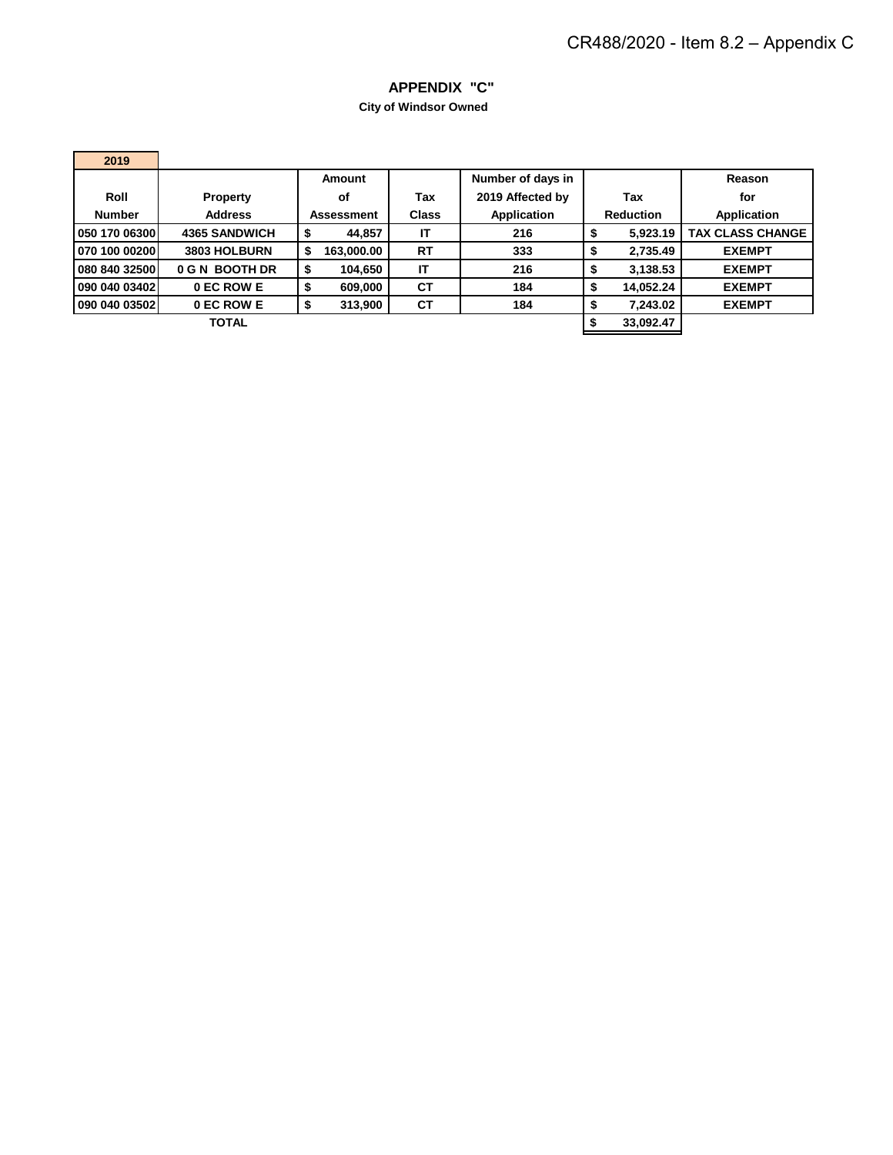## **APPENDIX "C"**

**City of Windsor Owned** 

| 2019          |                      |                   |                             |                   |                  |           |                         |  |
|---------------|----------------------|-------------------|-----------------------------|-------------------|------------------|-----------|-------------------------|--|
|               |                      | Amount            |                             | Number of days in |                  |           | Reason                  |  |
| Roll          | <b>Property</b>      | οf                | Tax                         | 2019 Affected by  |                  | Tax       | for                     |  |
| <b>Number</b> | <b>Address</b>       | <b>Assessment</b> | Application<br><b>Class</b> |                   | <b>Reduction</b> |           | Application             |  |
| 050 170 06300 | <b>4365 SANDWICH</b> | 44,857            | ΙT                          | 216               | æ                | 5,923.19  | <b>TAX CLASS CHANGE</b> |  |
| 070 100 00200 | 3803 HOLBURN         | 163,000.00        | <b>RT</b>                   | 333               | Φ                | 2.735.49  | <b>EXEMPT</b>           |  |
| 080 840 32500 | 0 G N BOOTH DR       | 104,650           | IT                          | 216               | Φ                | 3,138.53  | <b>EXEMPT</b>           |  |
| 090 040 03402 | 0 EC ROW E           | 609,000           | <b>CT</b>                   | 184               | Φ                | 14,052.24 | <b>EXEMPT</b>           |  |
| 090 040 03502 | 0 EC ROW E           | 313,900           | <b>CT</b>                   | 184               |                  | 7.243.02  | <b>EXEMPT</b>           |  |
|               | <b>TOTAL</b>         |                   |                             |                   |                  | 33,092.47 |                         |  |